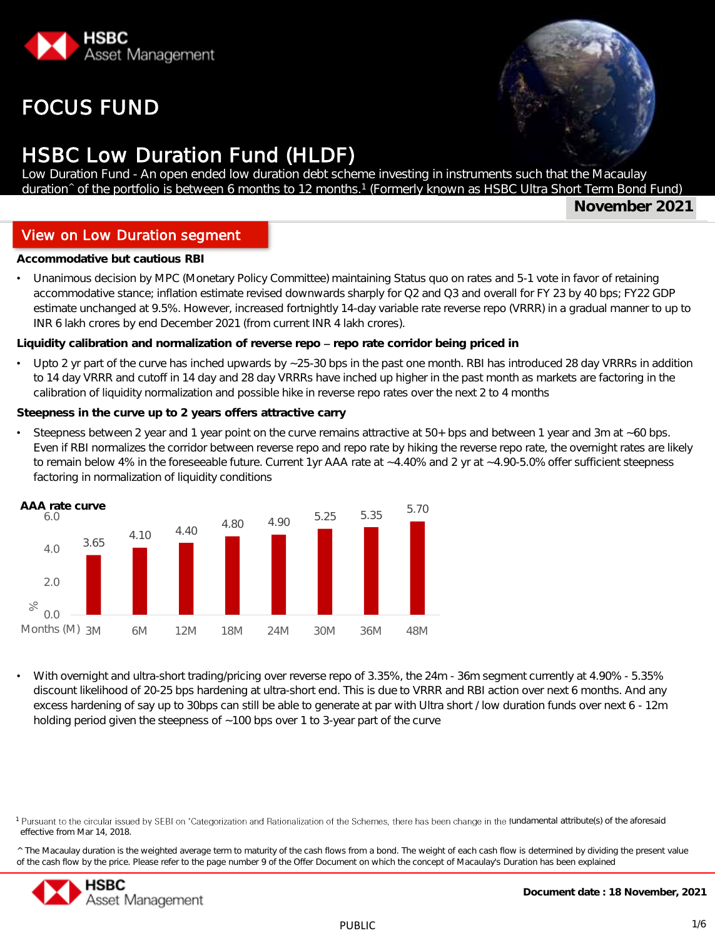

# FOCUS FUND

# HSBC Low Duration Fund (HLDF)

Low Duration Fund - An open ended low duration debt scheme investing in instruments such that the Macaulay duration^ of the portfolio is between 6 months to 12 months.<sup>1</sup> (Formerly known as HSBC Ultra Short Term Bond Fund)

**November 2021**

### View on Low Duration segment

**Investment Objective** But cautious RBI

• Unanimous decision by MPC (Monetary Policy Committee) maintaining Status quo on rates and 5-1 vote in favor of retaining accommodative stance; inflation estimate revised downwards sharply for Q2 and Q3 and overall for FY 23 by 40 bps; FY22 GDP estimate unchanged at 9.5%. However, increased fortnightly 14-day variable rate reverse repo (VRRR) in a gradual manner to up to INR 6 lakh crores by end December 2021 (from current INR 4 lakh crores).

**Liquidity calibration and normalization of reverse repo repo rate corridor being priced in**

Upto 2 yr part of the curve has inched upwards by ~25-30 bps in the past one month. RBI has introduced 28 day VRRRs in addition to 14 day VRRR and cutoff in 14 day and 28 day VRRRs have inched up higher in the past month as markets are factoring in the calibration of liquidity normalization and possible hike in reverse repo rates over the next 2 to 4 months

**Steepness in the curve up to 2 years offers attractive carry**

• Steepness between 2 year and 1 year point on the curve remains attractive at 50+ bps and between 1 year and 3m at ~60 bps. Even if RBI normalizes the corridor between reverse repo and repo rate by hiking the reverse repo rate, the overnight rates are likely to remain below 4% in the foreseeable future. Current 1yr AAA rate at ~4.40% and 2 yr at ~4.90-5.0% offer sufficient steepness factoring in normalization of liquidity conditions



• With overnight and ultra-short trading/pricing over reverse repo of 3.35%, the 24m - 36m segment currently at 4.90% - 5.35% discount likelihood of 20-25 bps hardening at ultra-short end. This is due to VRRR and RBI action over next 6 months. And any excess hardening of say up to 30bps can still be able to generate at par with Ultra short / low duration funds over next 6 - 12m holding period given the steepness of ~100 bps over 1 to 3-year part of the curve

<sup>^</sup> The Macaulay duration is the weighted average term to maturity of the cash flows from a bond. The weight of each cash flow is determined by dividing the present value of the cash flow by the price. Please refer to the page number 9 of the Offer Document on which the concept of Macaulay's Duration has been explained



<sup>&</sup>lt;sup>1</sup> Pursuant to the circular issued by SEBI on 'Categorization and Rationalization of the Schemes, there has been change in the fundamental attribute(s) of the aforesaid effective from Mar 14, 2018.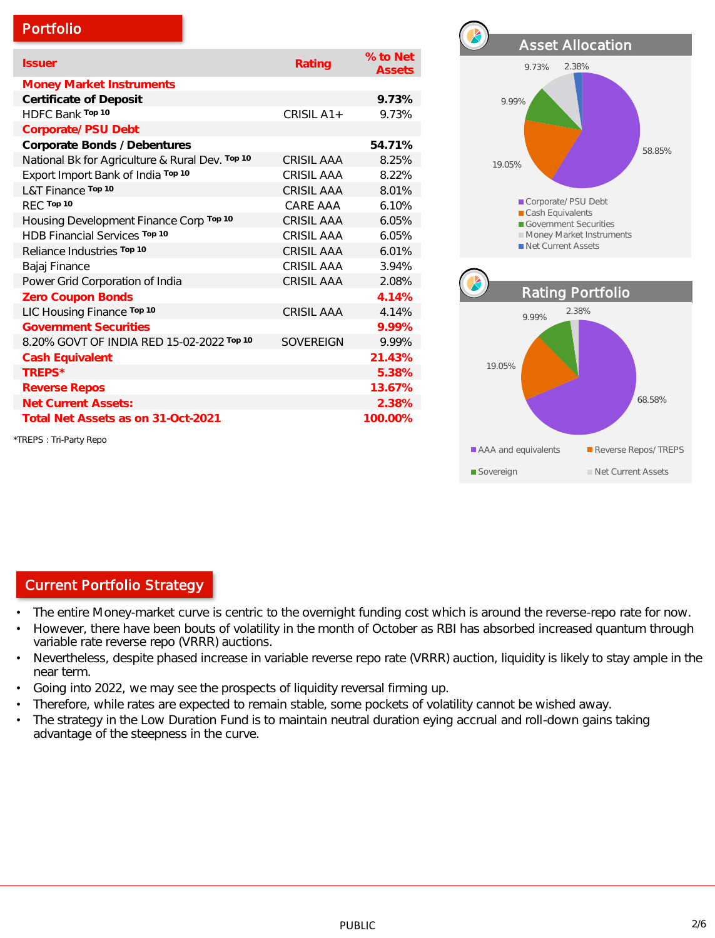|  |  | Portfolio |
|--|--|-----------|
|  |  |           |
|  |  |           |

| <b>Issuer</b>                                   | Rating            | % to Net<br><b>Assets</b> |
|-------------------------------------------------|-------------------|---------------------------|
| Money Market Instruments                        |                   |                           |
| Certificate of Deposit                          |                   | 9.73%                     |
| HDFC Bank Top 10                                | CRISIL A1+        | 9.73%                     |
| Corporate/ PSU Debt                             |                   |                           |
| Corporate Bonds / Debentures                    |                   | 54.71%                    |
| National Bk for Agriculture & Rural Dev. Top 10 | <b>CRISIL AAA</b> | 8.25%                     |
| Export Import Bank of India Top 10              | CRISIL AAA        | 8.22%                     |
| L&T Finance Top 10                              | <b>CRISIL AAA</b> | 8.01%                     |
| REC Top 10                                      | CARF AAA          | 6.10%                     |
| Housing Development Finance Corp Top 10         | CRISIL AAA        | 6.05%                     |
| HDB Financial Services Top 10                   | CRISIL AAA        | 6.05%                     |
| Reliance Industries Top 10                      | CRISIL AAA        | 6.01%                     |
| Bajaj Finance                                   | <b>CRISIL AAA</b> | 3.94%                     |
| Power Grid Corporation of India                 | <b>CRISIL AAA</b> | 2.08%                     |
| Zero Coupon Bonds                               |                   | 4.14%                     |
| LIC Housing Finance Top 10                      | <b>CRISIL AAA</b> | 4.14%                     |
| <b>Government Securities</b>                    |                   | 9.99%                     |
| 8.20% GOVT OF INDIA RED 15-02-2022 Top 10       | SOVERFIGN         | 9.99%                     |
| Cash Equivalent                                 |                   | 21.43%                    |
| TREPS*                                          |                   | 5.38%                     |
| <b>Reverse Repos</b>                            |                   | 13.67%                    |
| <b>Net Current Assets:</b>                      |                   | 2.38%                     |
| Total Net Assets as on 31-Oct-2021              |                   | 100.00%                   |
| *TREPS: Tri-Party Repo                          |                   |                           |



## Current Portfolio Strategy

- The entire Money-market curve is centric to the overnight funding cost which is around the reverse-repo rate for now.
- However, there have been bouts of volatility in the month of October as RBI has absorbed increased quantum through variable rate reverse repo (VRRR) auctions.
- Nevertheless, despite phased increase in variable reverse repo rate (VRRR) auction, liquidity is likely to stay ample in the near term.
- Going into 2022, we may see the prospects of liquidity reversal firming up.
- Therefore, while rates are expected to remain stable, some pockets of volatility cannot be wished away.
- The strategy in the Low Duration Fund is to maintain neutral duration eying accrual and roll-down gains taking advantage of the steepness in the curve.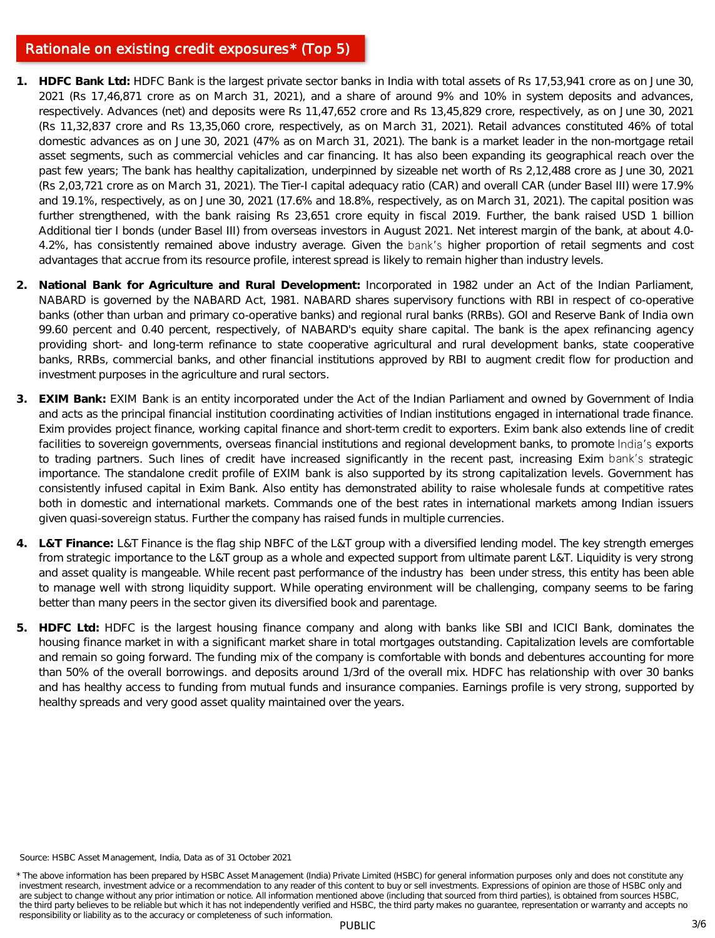### Rationale on existing credit exposures\* (Top 5)

- **1. HDFC Bank Ltd:** HDFC Bank is the largest private sector banks in India with total assets of Rs 17,53,941 crore as on June 30, 2021 (Rs 17,46,871 crore as on March 31, 2021), and a share of around 9% and 10% in system deposits and advances, respectively. Advances (net) and deposits were Rs 11,47,652 crore and Rs 13,45,829 crore, respectively, as on June 30, 2021 (Rs 11,32,837 crore and Rs 13,35,060 crore, respectively, as on March 31, 2021). Retail advances constituted 46% of total domestic advances as on June 30, 2021 (47% as on March 31, 2021). The bank is a market leader in the non-mortgage retail asset segments, such as commercial vehicles and car financing. It has also been expanding its geographical reach over the past few years; The bank has healthy capitalization, underpinned by sizeable net worth of Rs 2,12,488 crore as June 30, 2021 (Rs 2,03,721 crore as on March 31, 2021). The Tier-I capital adequacy ratio (CAR) and overall CAR (under Basel III) were 17.9% and 19.1%, respectively, as on June 30, 2021 (17.6% and 18.8%, respectively, as on March 31, 2021). The capital position was further strengthened, with the bank raising Rs 23,651 crore equity in fiscal 2019. Further, the bank raised USD 1 billion Additional tier I bonds (under Basel III) from overseas investors in August 2021. Net interest margin of the bank, at about 4.0- 4.2%, has consistently remained above industry average. Given the bank's higher proportion of retail segments and cost advantages that accrue from its resource profile, interest spread is likely to remain higher than industry levels.
- **2. National Bank for Agriculture and Rural Development:** Incorporated in 1982 under an Act of the Indian Parliament, NABARD is governed by the NABARD Act, 1981. NABARD shares supervisory functions with RBI in respect of co-operative banks (other than urban and primary co-operative banks) and regional rural banks (RRBs). GOI and Reserve Bank of India own 99.60 percent and 0.40 percent, respectively, of NABARD's equity share capital. The bank is the apex refinancing agency providing short- and long-term refinance to state cooperative agricultural and rural development banks, state cooperative banks, RRBs, commercial banks, and other financial institutions approved by RBI to augment credit flow for production and investment purposes in the agriculture and rural sectors.
- **3. EXIM Bank:** EXIM Bank is an entity incorporated under the Act of the Indian Parliament and owned by Government of India and acts as the principal financial institution coordinating activities of Indian institutions engaged in international trade finance. Exim provides project finance, working capital finance and short-term credit to exporters. Exim bank also extends line of credit facilities to sovereign governments, overseas financial institutions and regional development banks, to promote India's exports to trading partners. Such lines of credit have increased significantly in the recent past, increasing Exim bank's strategic importance. The standalone credit profile of EXIM bank is also supported by its strong capitalization levels. Government has consistently infused capital in Exim Bank. Also entity has demonstrated ability to raise wholesale funds at competitive rates both in domestic and international markets. Commands one of the best rates in international markets among Indian issuers given quasi-sovereign status. Further the company has raised funds in multiple currencies.
- **4. L&T Finance:** L&T Finance is the flag ship NBFC of the L&T group with a diversified lending model. The key strength emerges from strategic importance to the L&T group as a whole and expected support from ultimate parent L&T. Liquidity is very strong and asset quality is mangeable. While recent past performance of the industry has been under stress, this entity has been able to manage well with strong liquidity support. While operating environment will be challenging, company seems to be faring better than many peers in the sector given its diversified book and parentage.
- **5. HDFC Ltd:** HDFC is the largest housing finance company and along with banks like SBI and ICICI Bank, dominates the housing finance market in with a significant market share in total mortgages outstanding. Capitalization levels are comfortable and remain so going forward. The funding mix of the company is comfortable with bonds and debentures accounting for more than 50% of the overall borrowings. and deposits around 1/3rd of the overall mix. HDFC has relationship with over 30 banks and has healthy access to funding from mutual funds and insurance companies. Earnings profile is very strong, supported by healthy spreads and very good asset quality maintained over the years.

Source: HSBC Asset Management, India, Data as of 31 October 2021

<sup>\*</sup> The above information has been prepared by HSBC Asset Management (India) Private Limited (HSBC) for general information purposes only and does not constitute any investment research, investment advice or a recommendation to any reader of this content to buy or sell investments. Expressions of opinion are those of HSBC only and are subject to change without any prior intimation or notice. All information mentioned above (including that sourced from third parties), is obtained from sources HSBC, the third party believes to be reliable but which it has not independently verified and HSBC, the third party makes no guarantee, representation or warranty and accepts no responsibility or liability as to the accuracy or completeness of such information.